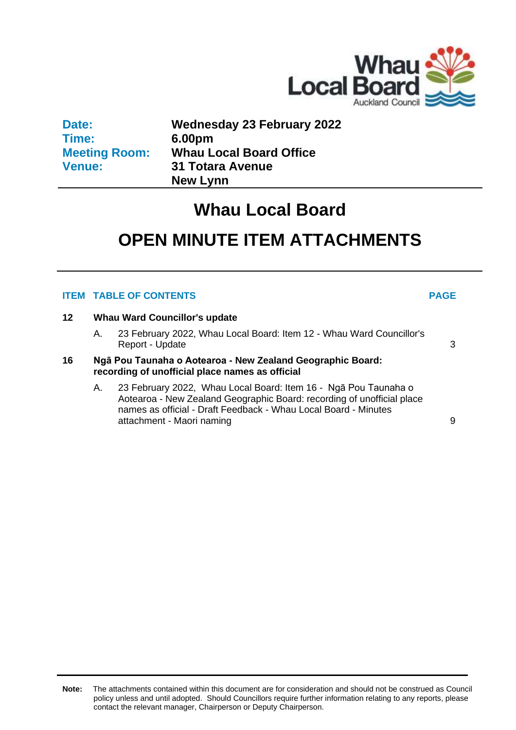

| Date:                |  |
|----------------------|--|
| Time:                |  |
| <b>Meeting Room:</b> |  |
| <b>Venue:</b>        |  |

**Wednesday 23 February 2022 6.00pm Whau Local Board Office 31 Totara Avenue New Lynn**

### **Whau Local Board**

### **OPEN MINUTE ITEM ATTACHMENTS**

### **ITEM TABLE OF CONTENTS PAGE**

### **12 Whau Ward Councillor's update**

A. 23 February 2022, Whau Local Board: Item 12 - Whau Ward Councillor's Report - Update [3](#page-2-0)

### **16 Ngā Pou Taunaha o Aotearoa - New Zealand Geographic Board: recording of unofficial place names as official**

A. 23 February 2022, Whau Local Board: Item 16 - Ngā Pou Taunaha o Aotearoa - New Zealand Geographic Board: recording of unofficial place names as official - Draft Feedback - Whau Local Board - Minutes attachment - Maori naming **[9](#page-8-0)** attachment - Maori naming **9** attachment of  $\theta$ 

**Note:** The attachments contained within this document are for consideration and should not be construed as Council policy unless and until adopted. Should Councillors require further information relating to any reports, please contact the relevant manager, Chairperson or Deputy Chairperson.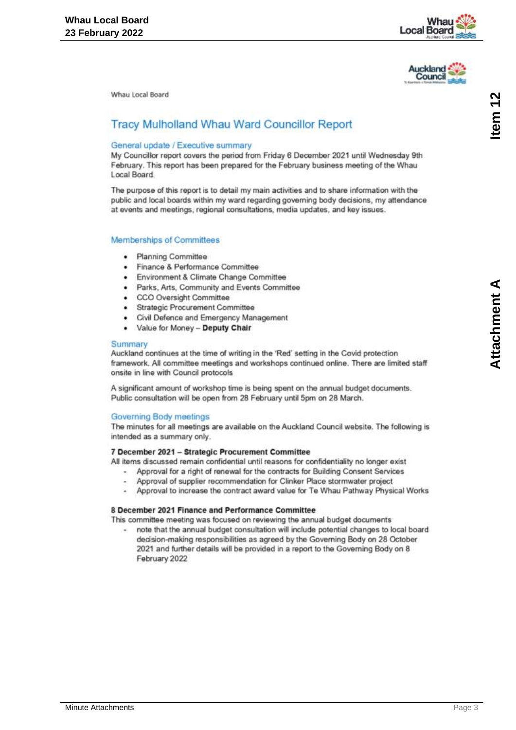



### <span id="page-2-0"></span>**Tracy Mulholland Whau Ward Councillor Report**

### General update / Executive summary

My Councillor report covers the period from Friday 6 December 2021 until Wednesday 9th February. This report has been prepared for the February business meeting of the Whau Local Board

The purpose of this report is to detail my main activities and to share information with the public and local boards within my ward regarding governing body decisions, my attendance at events and meetings, regional consultations, media updates, and key issues.

### Memberships of Committees

- Planning Committee .
- Finance & Performance Committee ۰
- Environment & Climate Change Committee
- Parks, Arts, Community and Events Committee
- CCO Oversight Committee
- Strategic Procurement Committee
- Civil Defence and Emergency Management
- ¥ Value for Money - Deputy Chair

### Summary

Auckland continues at the time of writing in the 'Red' setting in the Covid protection framework. All committee meetings and workshops continued online. There are limited staff onsite in line with Council protocols

A significant amount of workshop time is being spent on the annual budget documents. Public consultation will be open from 28 February until 5pm on 28 March.

### Governing Body meetings

The minutes for all meetings are available on the Auckland Council website. The following is intended as a summary only.

### 7 December 2021 - Strategic Procurement Committee

All items discussed remain confidential until reasons for confidentiality no longer exist

- Approval for a right of renewal for the contracts for Building Consent Services
- Approval of supplier recommendation for Clinker Place stormwater project
- Approval to increase the contract award value for Te Whau Pathway Physical Works

### 8 December 2021 Finance and Performance Committee

This committee meeting was focused on reviewing the annual budget documents

note that the annual budget consultation will include potential changes to local board decision-making responsibilities as agreed by the Governing Body on 28 October 2021 and further details will be provided in a report to the Governing Body on 8 February 2022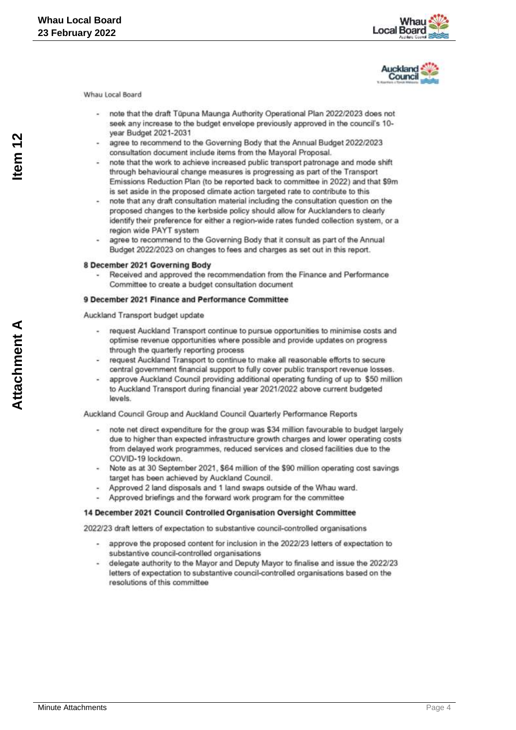



- note that the draft Tüpuna Maunga Authority Operational Plan 2022/2023 does not seek any increase to the budget envelope previously approved in the council's 10vear Budget 2021-2031
- agree to recommend to the Governing Body that the Annual Budget 2022/2023 consultation document include items from the Mayoral Proposal.
- note that the work to achieve increased public transport patronage and mode shift through behavioural change measures is progressing as part of the Transport Emissions Reduction Plan (to be reported back to committee in 2022) and that \$9m is set aside in the proposed climate action targeted rate to contribute to this
- note that any draft consultation material including the consultation question on the proposed changes to the kerbside policy should allow for Aucklanders to clearly identify their preference for either a region-wide rates funded collection system, or a region wide PAYT system
- agree to recommend to the Governing Body that it consult as part of the Annual Budget 2022/2023 on changes to fees and charges as set out in this report.

### 8 December 2021 Governing Body

Received and approved the recommendation from the Finance and Performance Committee to create a budget consultation document

### 9 December 2021 Finance and Performance Committee

Auckland Transport budget update

- request Auckland Transport continue to pursue opportunities to minimise costs and optimise revenue opportunities where possible and provide updates on progress through the quarterly reporting process
- request Auckland Transport to continue to make all reasonable efforts to secure central government financial support to fully cover public transport revenue losses.
- approve Auckland Council providing additional operating funding of up to \$50 million to Auckland Transport during financial year 2021/2022 above current budgeted levels

Auckland Council Group and Auckland Council Quarterly Performance Reports

- note net direct expenditure for the group was \$34 million favourable to budget largely due to higher than expected infrastructure growth charges and lower operating costs from delayed work programmes, reduced services and closed facilities due to the COVID-19 lockdown.
- Note as at 30 September 2021, \$64 million of the \$90 million operating cost savings target has been achieved by Auckland Council.
- Approved 2 land disposals and 1 land swaps outside of the Whau ward.
- Approved briefings and the forward work program for the committee
- 14 December 2021 Council Controlled Organisation Oversight Committee

2022/23 draft letters of expectation to substantive council-controlled organisations

- approve the proposed content for inclusion in the 2022/23 letters of expectation to substantive council-controlled organisations
- delegate authority to the Mayor and Deputy Mayor to finalise and issue the 2022/23 letters of expectation to substantive council-controlled organisations based on the resolutions of this committee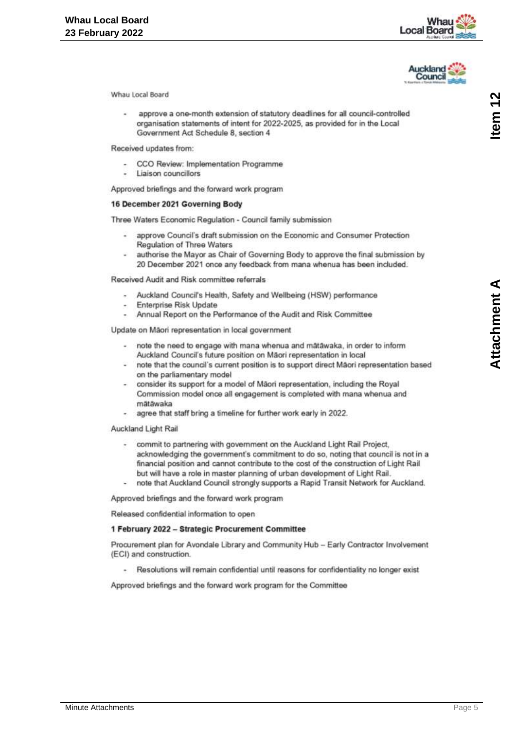



approve a one-month extension of statutory deadlines for all council-controlled organisation statements of intent for 2022-2025, as provided for in the Local Government Act Schedule 8, section 4

Received updates from:

- CCO Review: Implementation Programme
- Liaison councillors

Approved briefings and the forward work program

### 16 December 2021 Governing Body

Three Waters Economic Regulation - Council family submission

- approve Council's draft submission on the Economic and Consumer Protection Regulation of Three Waters
- authorise the Mayor as Chair of Governing Body to approve the final submission by 20 December 2021 once any feedback from mana whenua has been included.

Received Audit and Risk committee referrals

- Auckland Council's Health, Safety and Wellbeing (HSW) performance
- Enterprise Risk Update
- Annual Report on the Performance of the Audit and Risk Committee

Update on Mãori representation in local government

- note the need to engage with mana whenua and mâtâwaka, in order to inform Auckland Council's future position on Māori representation in local
- note that the council's current position is to support direct Māori representation based on the parliamentary model
- consider its support for a model of Mãori representation, including the Royal Commission model once all engagement is completed with mana whenua and mātāwaka
- agree that staff bring a timeline for further work early in 2022.

Auckland Light Rail

- commit to partnering with government on the Auckland Light Rail Project, acknowledging the government's commitment to do so, noting that council is not in a financial position and cannot contribute to the cost of the construction of Light Rail but will have a role in master planning of urban development of Light Rail.
- note that Auckland Council strongly supports a Rapid Transit Network for Auckland.

Approved briefings and the forward work program

Released confidential information to open

### 1 February 2022 - Strategic Procurement Committee

Procurement plan for Avondale Library and Community Hub - Early Contractor Involvement (ECI) and construction.

Resolutions will remain confidential until reasons for confidentiality no longer exist

Approved briefings and the forward work program for the Committee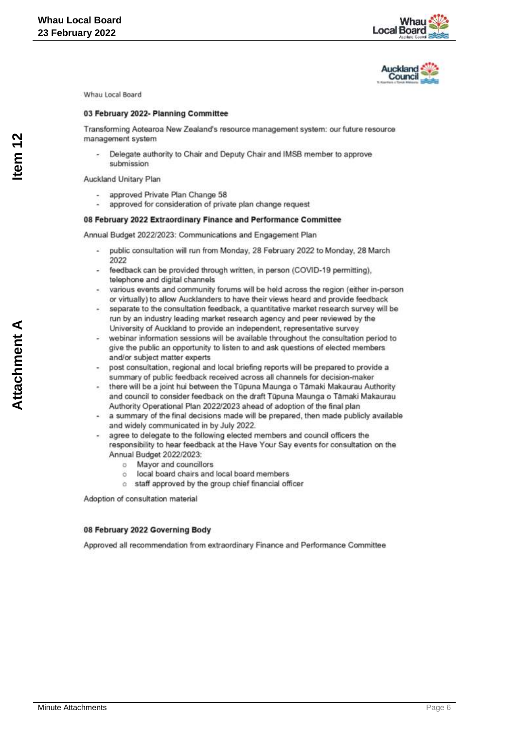



### 03 February 2022- Planning Committee

Transforming Aotearoa New Zealand's resource management system: our future resource management system

Delegate authority to Chair and Deputy Chair and IMSB member to approve submission

Auckland Unitary Plan

- approved Private Plan Change 58
- approved for consideration of private plan change request

### 08 February 2022 Extraordinary Finance and Performance Committee

Annual Budget 2022/2023: Communications and Engagement Plan

- public consultation will run from Monday, 28 February 2022 to Monday, 28 March 2022
- feedback can be provided through written, in person (COVID-19 permitting), telephone and digital channels
- various events and community forums will be held across the region (either in-person or virtually) to allow Aucklanders to have their views heard and provide feedback
- separate to the consultation feedback, a quantitative market research survey will be run by an industry leading market research agency and peer reviewed by the University of Auckland to provide an independent, representative survey
- webinar information sessions will be available throughout the consultation period to give the public an opportunity to listen to and ask questions of elected members and/or subject matter experts
- post consultation, regional and local briefing reports will be prepared to provide a summary of public feedback received across all channels for decision-maker
- there will be a joint hui between the Tüpuna Maunga o Tāmaki Makaurau Authority and council to consider feedback on the draft Tüpuna Maunga o Tāmaki Makaurau Authority Operational Plan 2022/2023 ahead of adoption of the final plan
- a summary of the final decisions made will be prepared, then made publicly available and widely communicated in by July 2022.
- agree to delegate to the following elected members and council officers the responsibility to hear feedback at the Have Your Say events for consultation on the Annual Budget 2022/2023:
	- Mayor and councillors  $\sigma$
	- local board chairs and local board members ö.
	- o staff approved by the group chief financial officer

Adoption of consultation material

### 08 February 2022 Governing Body

Approved all recommendation from extraordinary Finance and Performance Committee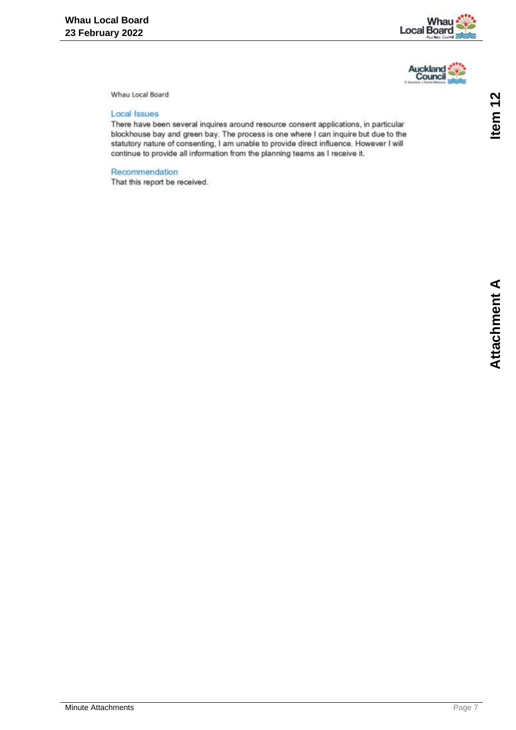



### **Local Issues**

There have been several inquires around resource consent applications, in particular blockhouse bay and green bay. The process is one where I can inquire but due to the statutory nature of consenting, I am unable to provide direct influence. However I will continue to provide all information from the planning teams as I receive it.

### Recommendation

That this report be received.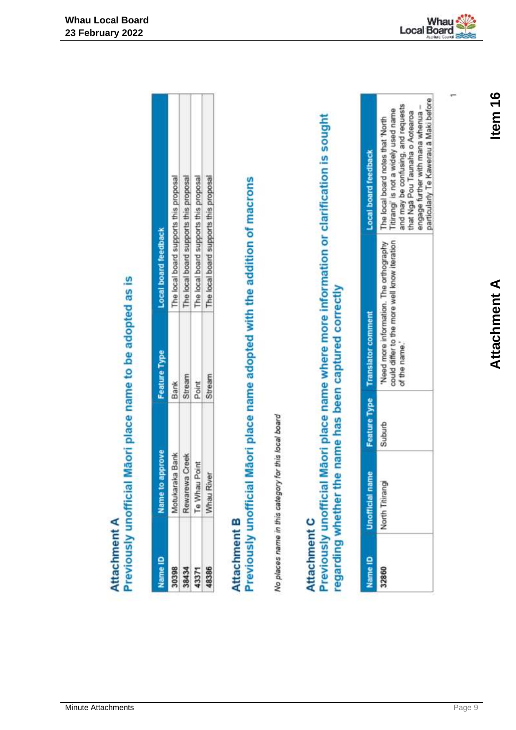# Previously unofficial Mãori place name to be adopted as is Attachment A

<span id="page-8-0"></span>

|                                  | nami<br>Z                                          | <b>Feature Type</b> | Local board feedback                   |
|----------------------------------|----------------------------------------------------|---------------------|----------------------------------------|
|                                  |                                                    | <b>Bank</b>         | The local board supports this proposal |
|                                  | Motukaraka Bank<br>Rewarewa Creek<br>Te Whau Point | itream              | The local board supports this proposal |
| 30398<br>38434<br>43371<br>48386 |                                                    | Point               | The local board supports this proposal |
|                                  | Whau River                                         | Stream              | The local board supports this p        |

## Attachment B

Previously unofficial Maori place name adopted with the addition of macrons

No places name in this category for this local board

### Attachment C

Previously unofficial Māori place name where more information or clarification is sought regarding whether the name has been captured correctly

|       | g | Feature Type Translator comment                                                                     | al board feed                                                                                                                                                                                                                     |
|-------|---|-----------------------------------------------------------------------------------------------------|-----------------------------------------------------------------------------------------------------------------------------------------------------------------------------------------------------------------------------------|
| 32860 |   | puld differ to the more well know iteration<br>Need more information. The orthography<br>I the name | articularly Te Kawerau a Maki before<br>sing, and requests<br>her with mana whenua -<br>ittrangi' is not a widely used name<br>hat Nga Pou Taunaha o Aotearo.<br>The local board notes that 'North<br>and may be conf<br>engage f |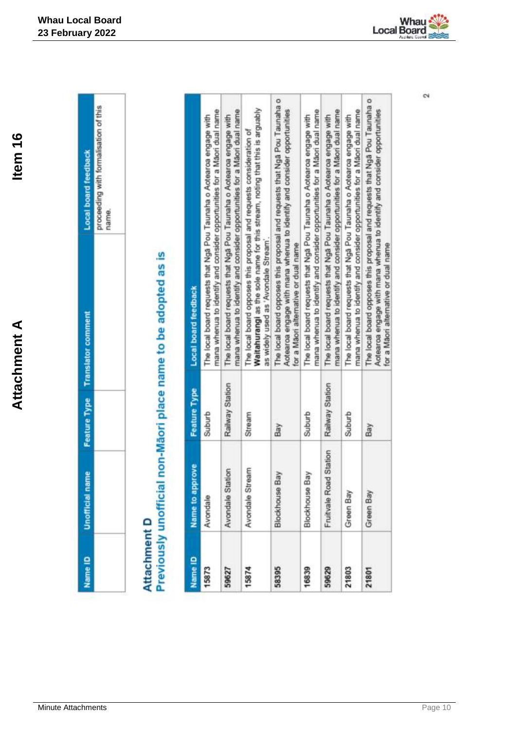|   | ç<br>J<br>ling<br>hame. |
|---|-------------------------|
|   |                         |
|   |                         |
|   | I                       |
|   |                         |
| ļ |                         |

**Whau Local Board 23 February 2022**

# Attachment D<br>Previously unofficial non-Māori place name to be adopted as is

| Name ID | rove<br>Name to app    | <b>Feature Type</b> | <b>Local board feedback</b>                                                                                                                                                                  |
|---------|------------------------|---------------------|----------------------------------------------------------------------------------------------------------------------------------------------------------------------------------------------|
| 15873   | Avondale               | Suburb              | mana whenua to identify and consider opportunities for a Maori dual name<br>The local board requests that Nga Pou Taunaha o Aotearoa engage with                                             |
| 59627   | tion<br>Avondale Stat  | Railway Station     | mana whenua to identify and consider opportunities for a Maon dual name<br>The local board requests that Nga Pou Taunaha o Aotearoa engage with                                              |
| 15874   | Avondale Stream        | Stream              | Waitahurangi as the sole name for this stream, noting that this is arguably<br>The local board opposes this proposal and requests consideration of<br>as widely used as 'Avondale Stream'.   |
| 58395   | <b>Blockhouse Bay</b>  | Bay                 | The local board opposes this proposal and requests that Nga Pou Taunaha o<br>Aotearoa engage with mana whenua to identify and consider opportunities<br>for a Mãon alternative or dual name  |
| 16839   | Blockhouse Bay         | Suburb              | mana whenua to identify and consider opportunities for a Maori dual name<br>The local board requests that Nga Pou Taunaha o Aotearoa engage with                                             |
| 59629   | Fruitvale Road Station | Railway Station     | mana whenua to identify and consider opportunities for a Maon dual name<br>The local board requests that Nga Pou Taunaha o Aotearoa engage with                                              |
| 21803   | Green Bay              | Suburb              | mana whenua to identify and consider opportunities for a Maon dual name<br>The local board requests that Nga Pou Taunaha o Aotearoa engage with                                              |
| 21801   | Green Bay              | Bay                 | The local board opposes this proposal and requests that Nga Pou Taunaha o<br>Aotearoa engage with mana whenua to identify and consider opportunities<br>for a Maori alternative or dual name |



 $\alpha$